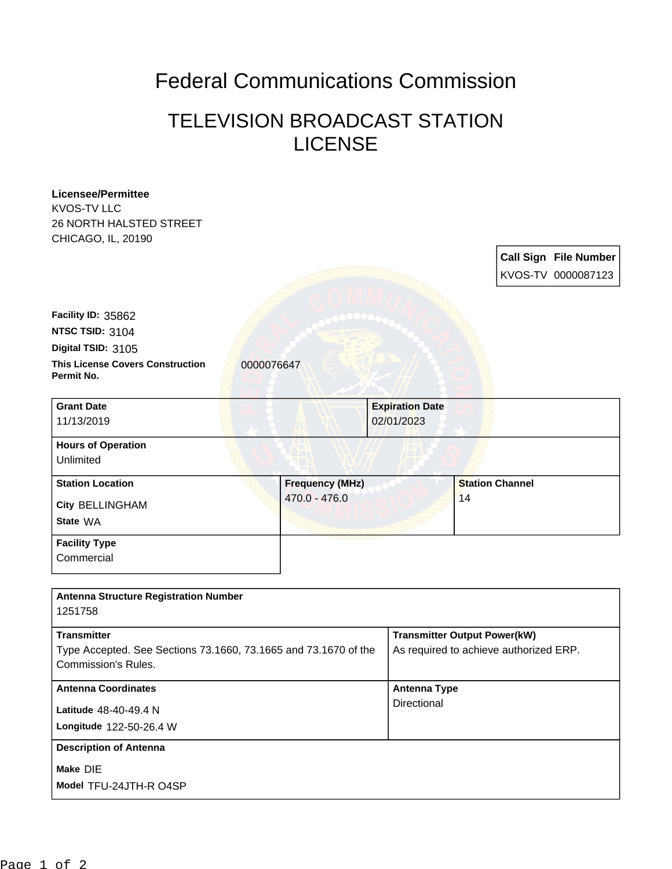## Federal Communications Commission

## TELEVISION BROADCAST STATION LICENSE

| <b>Licensee/Permittee</b><br><b>KVOS-TV LLC</b>                 |                        |                        |                                        |
|-----------------------------------------------------------------|------------------------|------------------------|----------------------------------------|
| <b>26 NORTH HALSTED STREET</b>                                  |                        |                        |                                        |
| CHICAGO, IL, 20190                                              |                        |                        |                                        |
|                                                                 |                        |                        | <b>Call Sign File Number</b>           |
|                                                                 |                        |                        | KVOS-TV 0000087123                     |
|                                                                 |                        |                        |                                        |
| Facility ID: 35862                                              |                        |                        |                                        |
| NTSC TSID: 3104                                                 |                        |                        |                                        |
| Digital TSID: 3105                                              |                        |                        |                                        |
| <b>This License Covers Construction</b><br>Permit No.           | 0000076647             |                        |                                        |
| <b>Grant Date</b>                                               |                        | <b>Expiration Date</b> |                                        |
| 11/13/2019                                                      |                        | 02/01/2023             |                                        |
| <b>Hours of Operation</b>                                       |                        |                        |                                        |
| Unlimited                                                       |                        |                        |                                        |
| <b>Station Location</b>                                         | <b>Frequency (MHz)</b> |                        | <b>Station Channel</b>                 |
| <b>City BELLINGHAM</b>                                          | 470.0 - 476.0          |                        | 14                                     |
| State WA                                                        |                        |                        |                                        |
| <b>Facility Type</b>                                            |                        |                        |                                        |
| Commercial                                                      |                        |                        |                                        |
|                                                                 |                        |                        |                                        |
| <b>Antenna Structure Registration Number</b><br>1251758         |                        |                        |                                        |
| <b>Transmitter</b>                                              |                        |                        | <b>Transmitter Output Power(kW)</b>    |
| Type Accepted. See Sections 73.1660, 73.1665 and 73.1670 of the |                        |                        | As required to achieve authorized ERP. |
| <b>Commission's Rules.</b>                                      |                        |                        |                                        |
| <b>Antenna Coordinates</b>                                      |                        | <b>Antenna Type</b>    |                                        |
| Latitude 48-40-49.4 N                                           |                        | Directional            |                                        |
| Longitude 122-50-26.4 W                                         |                        |                        |                                        |
| <b>Description of Antenna</b>                                   |                        |                        |                                        |
| Make DIE                                                        |                        |                        |                                        |
| Model TFU-24JTH-R O4SP                                          |                        |                        |                                        |
|                                                                 |                        |                        |                                        |